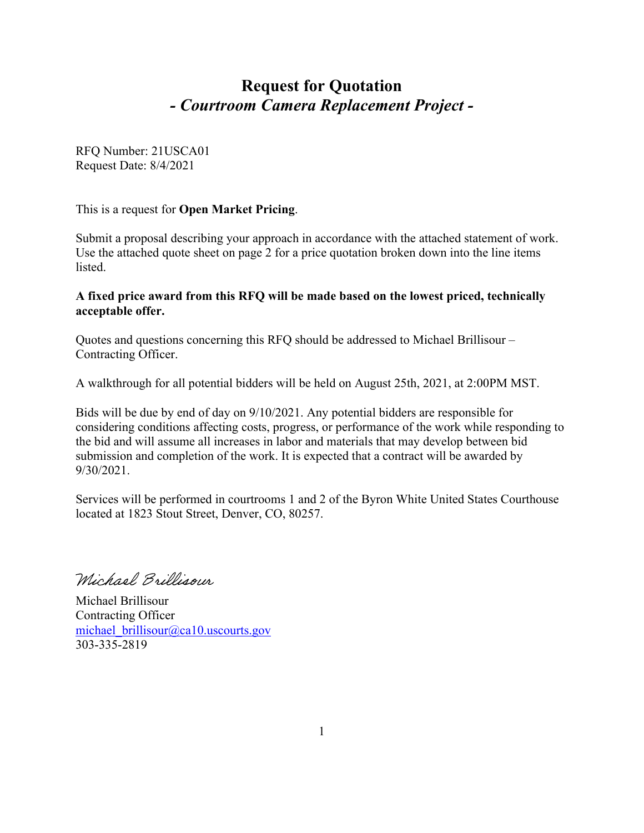# **Request for Quotation** *- Courtroom Camera Replacement Project -*

RFQ Number: 21USCA01 Request Date: 8/4/2021

This is a request for **Open Market Pricing**.

Submit a proposal describing your approach in accordance with the attached statement of work. Use the attached quote sheet on page 2 for a price quotation broken down into the line items listed.

#### **A fixed price award from this RFQ will be made based on the lowest priced, technically acceptable offer.**

Quotes and questions concerning this RFQ should be addressed to Michael Brillisour – Contracting Officer.

A walkthrough for all potential bidders will be held on August 25th, 2021, at 2:00PM MST.

Bids will be due by end of day on 9/10/2021. Any potential bidders are responsible for considering conditions affecting costs, progress, or performance of the work while responding to the bid and will assume all increases in labor and materials that may develop between bid submission and completion of the work. It is expected that a contract will be awarded by 9/30/2021.

Services will be performed in courtrooms 1 and 2 of the Byron White United States Courthouse located at 1823 Stout Street, Denver, CO, 80257.

Wichael Brillisour

Michael Brillisour Contracting Officer michael\_brillisour@ca10.uscourts.gov 303-335-2819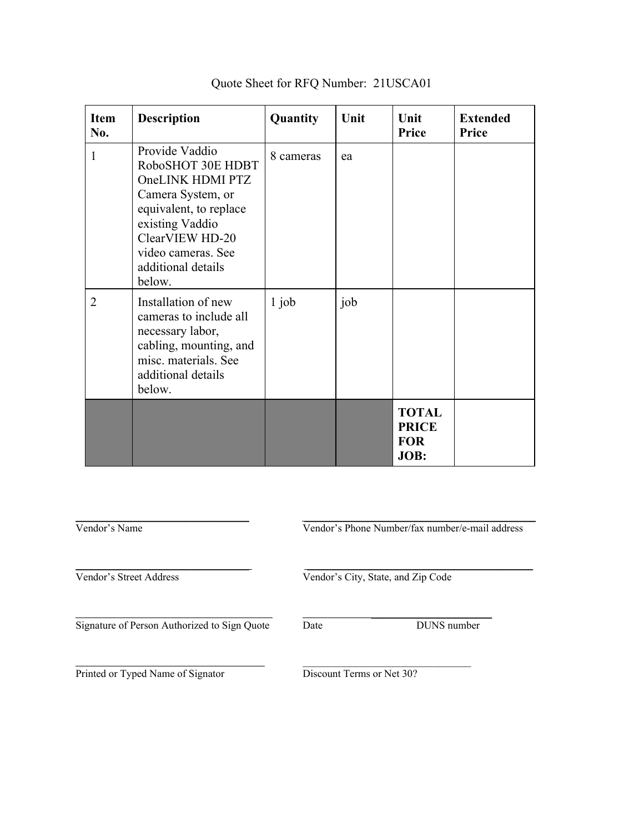| <b>Item</b><br>No. | <b>Description</b>                                                                                                                                                                                 | Quantity  | Unit | Unit<br>Price                                      | <b>Extended</b><br>Price |
|--------------------|----------------------------------------------------------------------------------------------------------------------------------------------------------------------------------------------------|-----------|------|----------------------------------------------------|--------------------------|
| $\mathbf{1}$       | Provide Vaddio<br>RoboSHOT 30E HDBT<br>OneLINK HDMI PTZ<br>Camera System, or<br>equivalent, to replace<br>existing Vaddio<br>ClearVIEW HD-20<br>video cameras. See<br>additional details<br>below. | 8 cameras | ea   |                                                    |                          |
| 2                  | Installation of new<br>cameras to include all<br>necessary labor,<br>cabling, mounting, and<br>misc. materials. See<br>additional details<br>below.                                                | $1$ job   | job  |                                                    |                          |
|                    |                                                                                                                                                                                                    |           |      | <b>TOTAL</b><br><b>PRICE</b><br><b>FOR</b><br>JOB: |                          |

# Quote Sheet for RFQ Number: 21USCA01

| Vendor's Name                                |                                    | Vendor's Phone Number/fax number/e-mail address |  |
|----------------------------------------------|------------------------------------|-------------------------------------------------|--|
| Vendor's Street Address                      | Vendor's City, State, and Zip Code |                                                 |  |
| Signature of Person Authorized to Sign Quote | Date                               | DUNS number                                     |  |
| Printed or Typed Name of Signator            | Discount Terms or Net 30?          |                                                 |  |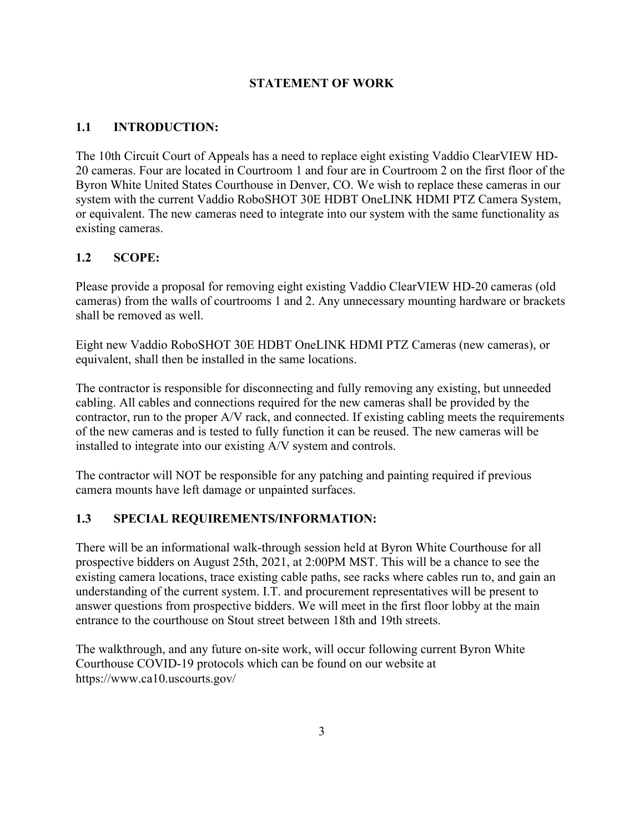### **STATEMENT OF WORK**

### **1.1 INTRODUCTION:**

The 10th Circuit Court of Appeals has a need to replace eight existing Vaddio ClearVIEW HD-20 cameras. Four are located in Courtroom 1 and four are in Courtroom 2 on the first floor of the Byron White United States Courthouse in Denver, CO. We wish to replace these cameras in our system with the current Vaddio RoboSHOT 30E HDBT OneLINK HDMI PTZ Camera System, or equivalent. The new cameras need to integrate into our system with the same functionality as existing cameras.

### **1.2 SCOPE:**

Please provide a proposal for removing eight existing Vaddio ClearVIEW HD-20 cameras (old cameras) from the walls of courtrooms 1 and 2. Any unnecessary mounting hardware or brackets shall be removed as well.

Eight new Vaddio RoboSHOT 30E HDBT OneLINK HDMI PTZ Cameras (new cameras), or equivalent, shall then be installed in the same locations.

The contractor is responsible for disconnecting and fully removing any existing, but unneeded cabling. All cables and connections required for the new cameras shall be provided by the contractor, run to the proper A/V rack, and connected. If existing cabling meets the requirements of the new cameras and is tested to fully function it can be reused. The new cameras will be installed to integrate into our existing A/V system and controls.

The contractor will NOT be responsible for any patching and painting required if previous camera mounts have left damage or unpainted surfaces.

#### **1.3 SPECIAL REQUIREMENTS/INFORMATION:**

There will be an informational walk-through session held at Byron White Courthouse for all prospective bidders on August 25th, 2021, at 2:00PM MST. This will be a chance to see the existing camera locations, trace existing cable paths, see racks where cables run to, and gain an understanding of the current system. I.T. and procurement representatives will be present to answer questions from prospective bidders. We will meet in the first floor lobby at the main entrance to the courthouse on Stout street between 18th and 19th streets.

The walkthrough, and any future on-site work, will occur following current Byron White Courthouse COVID-19 protocols which can be found on our website at https://www.ca10.uscourts.gov/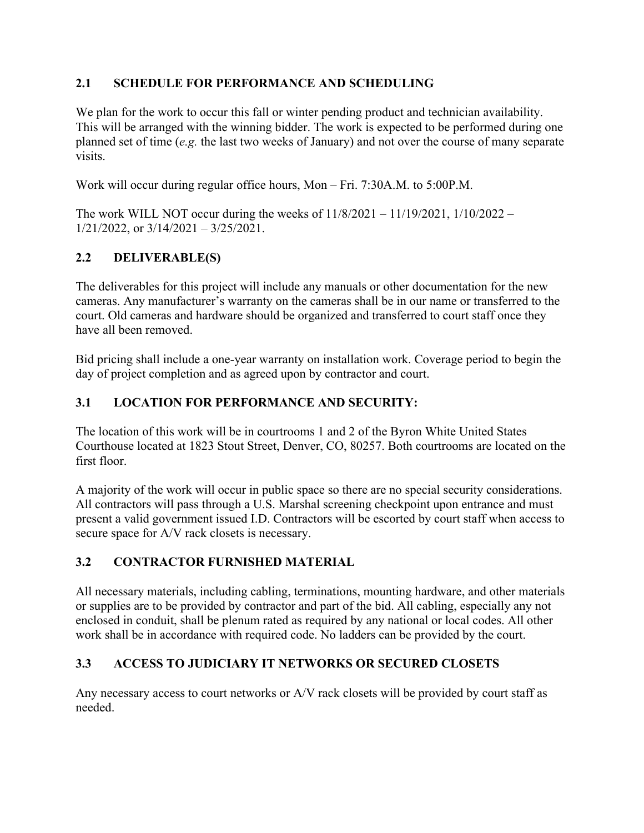## **2.1 SCHEDULE FOR PERFORMANCE AND SCHEDULING**

We plan for the work to occur this fall or winter pending product and technician availability. This will be arranged with the winning bidder. The work is expected to be performed during one planned set of time (*e.g.* the last two weeks of January) and not over the course of many separate visits.

Work will occur during regular office hours, Mon – Fri. 7:30A.M. to 5:00P.M.

The work WILL NOT occur during the weeks of  $11/8/2021 - 11/19/2021$ ,  $1/10/2022 1/21/2022$ , or  $3/14/2021 - 3/25/2021$ .

# **2.2 DELIVERABLE(S)**

The deliverables for this project will include any manuals or other documentation for the new cameras. Any manufacturer's warranty on the cameras shall be in our name or transferred to the court. Old cameras and hardware should be organized and transferred to court staff once they have all been removed.

Bid pricing shall include a one-year warranty on installation work. Coverage period to begin the day of project completion and as agreed upon by contractor and court.

# **3.1 LOCATION FOR PERFORMANCE AND SECURITY:**

The location of this work will be in courtrooms 1 and 2 of the Byron White United States Courthouse located at 1823 Stout Street, Denver, CO, 80257. Both courtrooms are located on the first floor.

A majority of the work will occur in public space so there are no special security considerations. All contractors will pass through a U.S. Marshal screening checkpoint upon entrance and must present a valid government issued I.D. Contractors will be escorted by court staff when access to secure space for A/V rack closets is necessary.

# **3.2 CONTRACTOR FURNISHED MATERIAL**

All necessary materials, including cabling, terminations, mounting hardware, and other materials or supplies are to be provided by contractor and part of the bid. All cabling, especially any not enclosed in conduit, shall be plenum rated as required by any national or local codes. All other work shall be in accordance with required code. No ladders can be provided by the court.

# **3.3 ACCESS TO JUDICIARY IT NETWORKS OR SECURED CLOSETS**

Any necessary access to court networks or A/V rack closets will be provided by court staff as needed.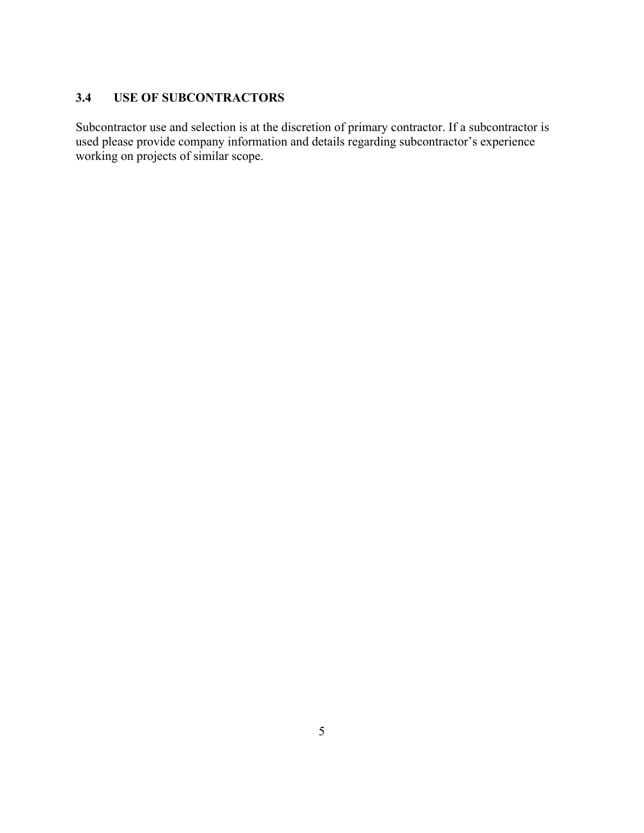## **3.4 USE OF SUBCONTRACTORS**

Subcontractor use and selection is at the discretion of primary contractor. If a subcontractor is used please provide company information and details regarding subcontractor's experience working on projects of similar scope.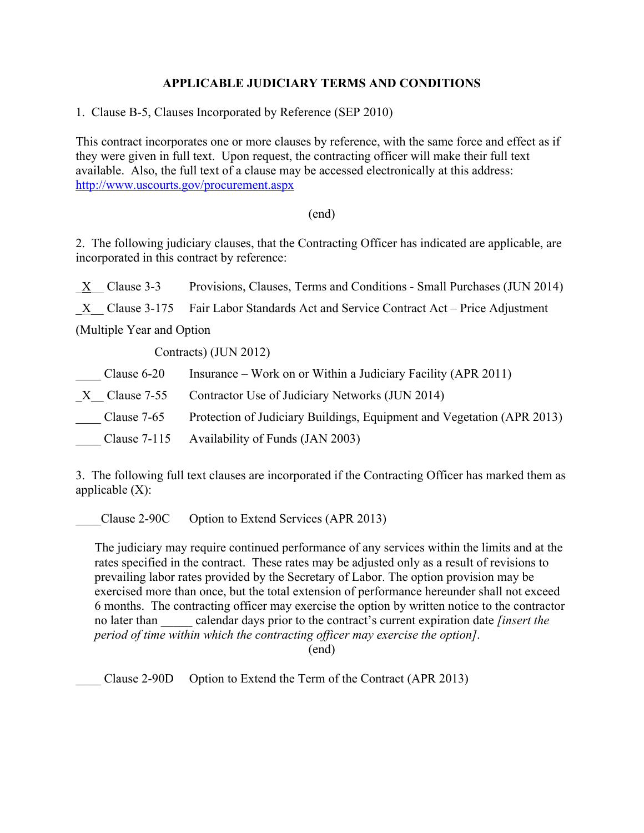### **APPLICABLE JUDICIARY TERMS AND CONDITIONS**

1. Clause B-5, Clauses Incorporated by Reference (SEP 2010)

This contract incorporates one or more clauses by reference, with the same force and effect as if they were given in full text. Upon request, the contracting officer will make their full text available. Also, the full text of a clause may be accessed electronically at this address: <http://www.uscourts.gov/procurement.aspx>

#### (end)

2. The following judiciary clauses, that the Contracting Officer has indicated are applicable, are incorporated in this contract by reference:

|                            | $\underline{X}$ Clause 3-3              | Provisions, Clauses, Terms and Conditions - Small Purchases (JUN 2014)              |  |
|----------------------------|-----------------------------------------|-------------------------------------------------------------------------------------|--|
|                            |                                         | X Clause 3-175 Fair Labor Standards Act and Service Contract Act – Price Adjustment |  |
| (Multiple Year and Option) |                                         |                                                                                     |  |
| Contracts) (JUN 2012)      |                                         |                                                                                     |  |
|                            | $C\left _{211}e_{12}f_{12}\right _{21}$ | Insurance – Work on or Within a Indiciary Eacility ( $\triangle PR$ 2011)           |  |

| Clause 6-20 | Insurance – Work on or Within a Judiciary Facility (APR 2011)          |
|-------------|------------------------------------------------------------------------|
|             | $X$ Clause 7-55 Contractor Use of Judiciary Networks (JUN 2014)        |
| Clause 7-65 | Protection of Judiciary Buildings, Equipment and Vegetation (APR 2013) |
|             | Clause 7-115 Availability of Funds (JAN 2003)                          |

3. The following full text clauses are incorporated if the Contracting Officer has marked them as applicable  $(X)$ :

Clause 2-90C Option to Extend Services (APR 2013)

The judiciary may require continued performance of any services within the limits and at the rates specified in the contract. These rates may be adjusted only as a result of revisions to prevailing labor rates provided by the Secretary of Labor. The option provision may be exercised more than once, but the total extension of performance hereunder shall not exceed 6 months. The contracting officer may exercise the option by written notice to the contractor no later than \_\_\_\_\_ calendar days prior to the contract's current expiration date *[insert the period of time within which the contracting officer may exercise the option]*. (end)

Clause 2-90D Option to Extend the Term of the Contract (APR 2013)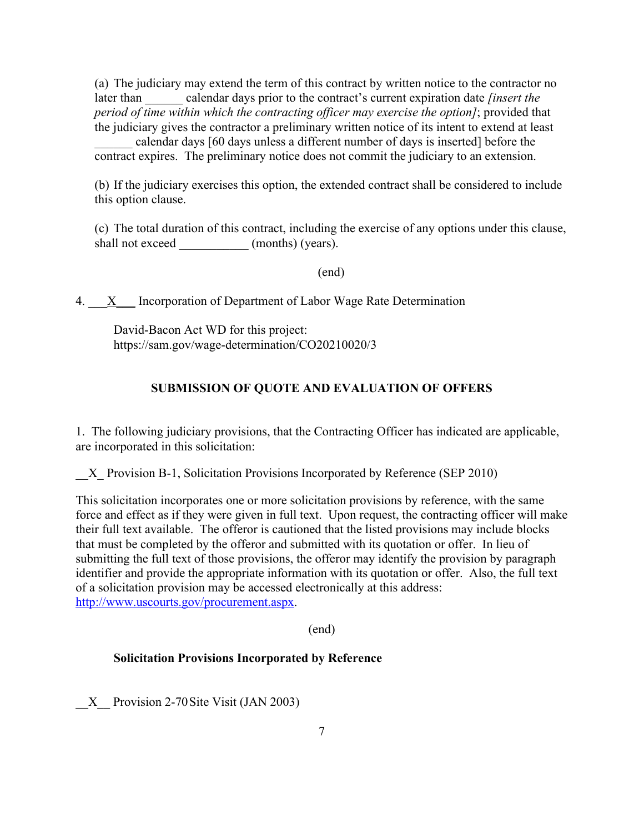(a) The judiciary may extend the term of this contract by written notice to the contractor no later than calendar days prior to the contract's current expiration date *[insert the period of time within which the contracting officer may exercise the option]*; provided that the judiciary gives the contractor a preliminary written notice of its intent to extend at least

calendar days [60 days unless a different number of days is inserted] before the contract expires. The preliminary notice does not commit the judiciary to an extension.

(b) If the judiciary exercises this option, the extended contract shall be considered to include this option clause.

(c) The total duration of this contract, including the exercise of any options under this clause, shall not exceed (months) (years).

(end)

4. X Incorporation of Department of Labor Wage Rate Determination

David-Bacon Act WD for this project: https://sam.gov/wage-determination/CO20210020/3

#### **SUBMISSION OF QUOTE AND EVALUATION OF OFFERS**

1. The following judiciary provisions, that the Contracting Officer has indicated are applicable, are incorporated in this solicitation:

X Provision B-1, Solicitation Provisions Incorporated by Reference (SEP 2010)

This solicitation incorporates one or more solicitation provisions by reference, with the same force and effect as if they were given in full text. Upon request, the contracting officer will make their full text available. The offeror is cautioned that the listed provisions may include blocks that must be completed by the offeror and submitted with its quotation or offer. In lieu of submitting the full text of those provisions, the offeror may identify the provision by paragraph identifier and provide the appropriate information with its quotation or offer. Also, the full text of a solicitation provision may be accessed electronically at this address: [http://www.uscourts.gov/procurement.aspx.](http://www.uscourts.gov/procurement.aspx)

(end)

#### **Solicitation Provisions Incorporated by Reference**

X Provision 2-70 Site Visit (JAN 2003)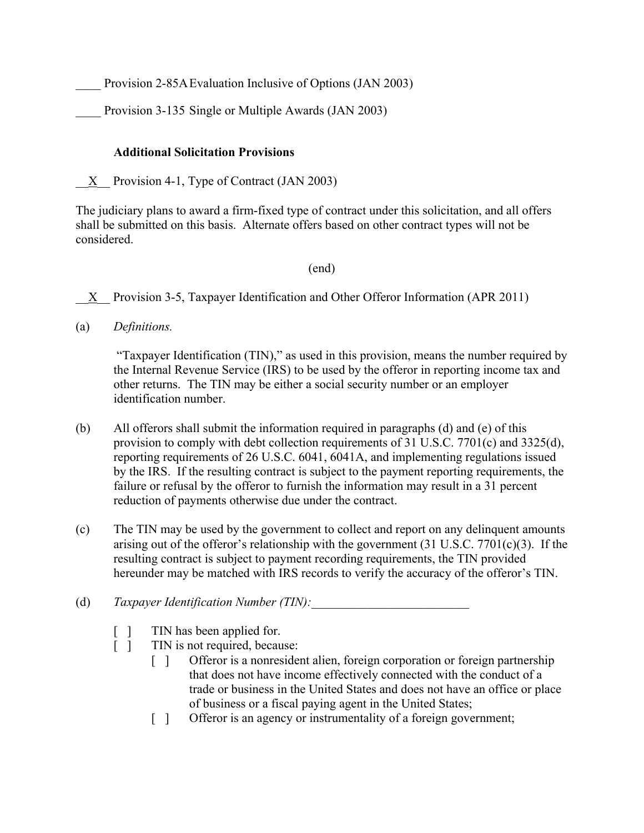Provision 2-85A Evaluation Inclusive of Options (JAN 2003)

Provision 3-135 Single or Multiple Awards (JAN 2003)

### **Additional Solicitation Provisions**

 $X$  Provision 4-1, Type of Contract (JAN 2003)

The judiciary plans to award a firm-fixed type of contract under this solicitation, and all offers shall be submitted on this basis. Alternate offers based on other contract types will not be considered.

### (end)

X Provision 3-5, Taxpayer Identification and Other Offeror Information (APR 2011)

(a) *Definitions.*

"Taxpayer Identification (TIN)," as used in this provision, means the number required by the Internal Revenue Service (IRS) to be used by the offeror in reporting income tax and other returns. The TIN may be either a social security number or an employer identification number.

- (b) All offerors shall submit the information required in paragraphs (d) and (e) of this provision to comply with debt collection requirements of 31 U.S.C. 7701(c) and 3325(d), reporting requirements of 26 U.S.C. 6041, 6041A, and implementing regulations issued by the IRS. If the resulting contract is subject to the payment reporting requirements, the failure or refusal by the offeror to furnish the information may result in a 31 percent reduction of payments otherwise due under the contract.
- (c) The TIN may be used by the government to collect and report on any delinquent amounts arising out of the offeror's relationship with the government  $(31 \text{ U.S.C. } 7701(c)(3)$ . If the resulting contract is subject to payment recording requirements, the TIN provided hereunder may be matched with IRS records to verify the accuracy of the offeror's TIN.
- (d) *Taxpayer Identification Number (TIN):* 
	- [ ] TIN has been applied for.
	- [ ] TIN is not required, because:
		- [ ] Offeror is a nonresident alien, foreign corporation or foreign partnership that does not have income effectively connected with the conduct of a trade or business in the United States and does not have an office or place of business or a fiscal paying agent in the United States;
		- [ ] Offeror is an agency or instrumentality of a foreign government;